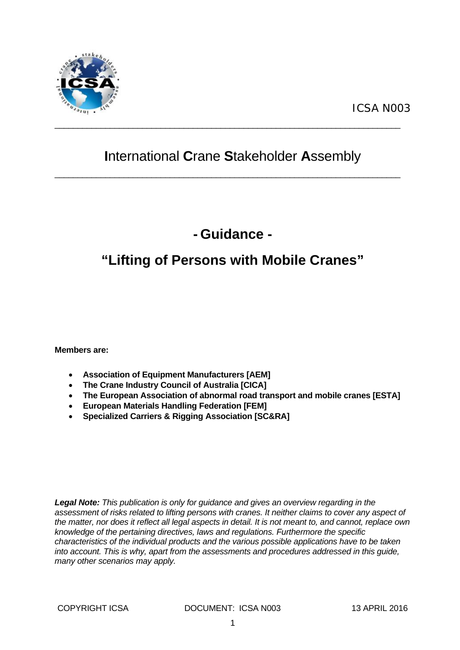

## **I**nternational **C**rane **S**takeholder **A**ssembly

 $\_$  , and the set of the set of the set of the set of the set of the set of the set of the set of the set of the set of the set of the set of the set of the set of the set of the set of the set of the set of the set of th

 $\_$  , and the set of the set of the set of the set of the set of the set of the set of the set of the set of the set of the set of the set of the set of the set of the set of the set of the set of the set of the set of th

# **- Guidance -**

# **"Lifting of Persons with Mobile Cranes"**

**Members are:** 

- **Association of Equipment Manufacturers [AEM]**
- **The Crane Industry Council of Australia [CICA]**
- **The European Association of abnormal road transport and mobile cranes [ESTA]**
- **European Materials Handling Federation [FEM]**
- **Specialized Carriers & Rigging Association [SC&RA]**

*Legal Note: This publication is only for guidance and gives an overview regarding in the assessment of risks related to lifting persons with cranes. It neither claims to cover any aspect of the matter, nor does it reflect all legal aspects in detail. It is not meant to, and cannot, replace own knowledge of the pertaining directives, laws and regulations. Furthermore the specific characteristics of the individual products and the various possible applications have to be taken into account. This is why, apart from the assessments and procedures addressed in this guide, many other scenarios may apply.*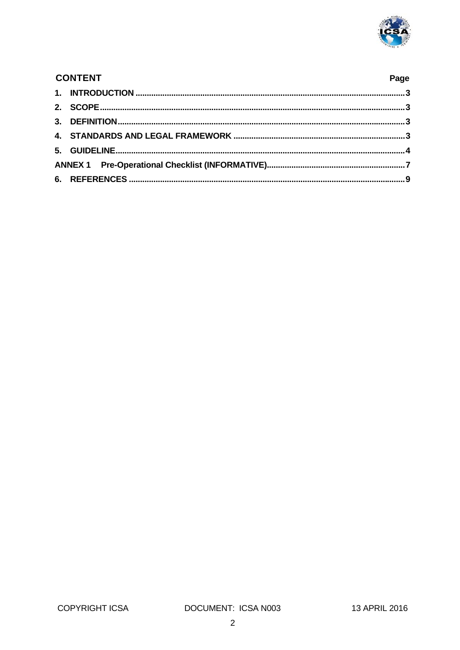

| <b>CONTENT</b> |  |  |
|----------------|--|--|
|                |  |  |
|                |  |  |
|                |  |  |
|                |  |  |
|                |  |  |
|                |  |  |
|                |  |  |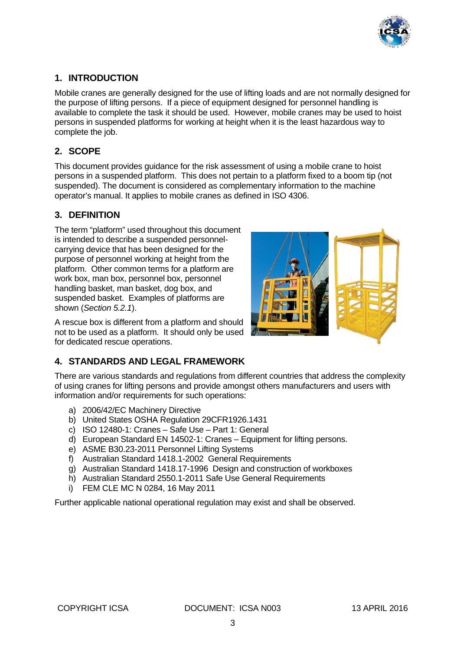

### **1. INTRODUCTION**

Mobile cranes are generally designed for the use of lifting loads and are not normally designed for the purpose of lifting persons. If a piece of equipment designed for personnel handling is available to complete the task it should be used. However, mobile cranes may be used to hoist persons in suspended platforms for working at height when it is the least hazardous way to complete the job.

#### **2. SCOPE**

This document provides guidance for the risk assessment of using a mobile crane to hoist persons in a suspended platform. This does not pertain to a platform fixed to a boom tip (not suspended). The document is considered as complementary information to the machine operator's manual. It applies to mobile cranes as defined in ISO 4306.

#### **3. DEFINITION**

The term "platform" used throughout this document is intended to describe a suspended personnelcarrying device that has been designed for the purpose of personnel working at height from the platform. Other common terms for a platform are work box, man box, personnel box, personnel handling basket, man basket, dog box, and suspended basket. Examples of platforms are shown (*Section 5.2.1*).

A rescue box is different from a platform and should not to be used as a platform. It should only be used for dedicated rescue operations.



#### **4. STANDARDS AND LEGAL FRAMEWORK**

There are various standards and regulations from different countries that address the complexity of using cranes for lifting persons and provide amongst others manufacturers and users with information and/or requirements for such operations:

- a) 2006/42/EC Machinery Directive
- b) United States OSHA Regulation 29CFR1926.1431
- c) ISO 12480-1: Cranes Safe Use Part 1: General
- d) European Standard EN 14502-1: Cranes Equipment for lifting persons.
- e) ASME B30.23-2011 Personnel Lifting Systems
- f) Australian Standard 1418.1-2002 General Requirements
- g) Australian Standard 1418.17-1996 Design and construction of workboxes
- h) Australian Standard 2550.1-2011 Safe Use General Requirements
- i) FEM CLE MC N 0284, 16 May 2011

Further applicable national operational regulation may exist and shall be observed.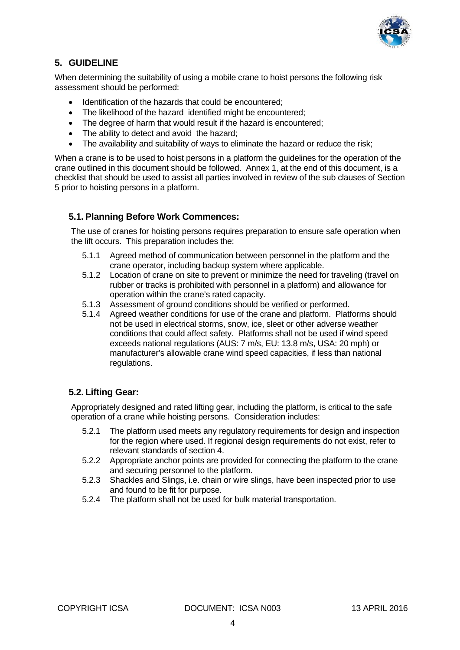

### **5. GUIDELINE**

When determining the suitability of using a mobile crane to hoist persons the following risk assessment should be performed:

- Identification of the hazards that could be encountered;
- The likelihood of the hazard identified might be encountered:
- The degree of harm that would result if the hazard is encountered;
- The ability to detect and avoid the hazard;
- The availability and suitability of ways to eliminate the hazard or reduce the risk;

When a crane is to be used to hoist persons in a platform the guidelines for the operation of the crane outlined in this document should be followed. Annex 1, at the end of this document, is a checklist that should be used to assist all parties involved in review of the sub clauses of Section 5 prior to hoisting persons in a platform.

#### **5.1. Planning Before Work Commences:**

The use of cranes for hoisting persons requires preparation to ensure safe operation when the lift occurs. This preparation includes the:

- 5.1.1 Agreed method of communication between personnel in the platform and the crane operator, including backup system where applicable.
- 5.1.2 Location of crane on site to prevent or minimize the need for traveling (travel on rubber or tracks is prohibited with personnel in a platform) and allowance for operation within the crane's rated capacity.
- 5.1.3 Assessment of ground conditions should be verified or performed.
- 5.1.4 Agreed weather conditions for use of the crane and platform. Platforms should not be used in electrical storms, snow, ice, sleet or other adverse weather conditions that could affect safety. Platforms shall not be used if wind speed exceeds national regulations (AUS: 7 m/s, EU: 13.8 m/s, USA: 20 mph) or manufacturer's allowable crane wind speed capacities, if less than national regulations.

#### **5.2. Lifting Gear:**

Appropriately designed and rated lifting gear, including the platform, is critical to the safe operation of a crane while hoisting persons. Consideration includes:

- 5.2.1 The platform used meets any regulatory requirements for design and inspection for the region where used. If regional design requirements do not exist, refer to relevant standards of section 4.
- 5.2.2 Appropriate anchor points are provided for connecting the platform to the crane and securing personnel to the platform.
- 5.2.3 Shackles and Slings, i.e. chain or wire slings, have been inspected prior to use and found to be fit for purpose.
- 5.2.4 The platform shall not be used for bulk material transportation.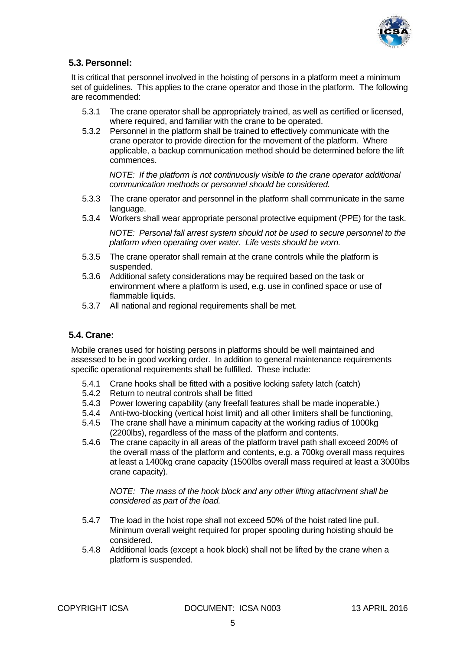

#### **5.3. Personnel:**

It is critical that personnel involved in the hoisting of persons in a platform meet a minimum set of guidelines. This applies to the crane operator and those in the platform. The following are recommended:

- 5.3.1 The crane operator shall be appropriately trained, as well as certified or licensed, where required, and familiar with the crane to be operated.
- 5.3.2 Personnel in the platform shall be trained to effectively communicate with the crane operator to provide direction for the movement of the platform. Where applicable, a backup communication method should be determined before the lift commences.

*NOTE: If the platform is not continuously visible to the crane operator additional communication methods or personnel should be considered.* 

- 5.3.3 The crane operator and personnel in the platform shall communicate in the same language.
- 5.3.4 Workers shall wear appropriate personal protective equipment (PPE) for the task.

*NOTE: Personal fall arrest system should not be used to secure personnel to the platform when operating over water. Life vests should be worn.* 

- 5.3.5 The crane operator shall remain at the crane controls while the platform is suspended.
- 5.3.6 Additional safety considerations may be required based on the task or environment where a platform is used, e.g. use in confined space or use of flammable liquids.
- 5.3.7 All national and regional requirements shall be met.

#### **5.4. Crane:**

Mobile cranes used for hoisting persons in platforms should be well maintained and assessed to be in good working order. In addition to general maintenance requirements specific operational requirements shall be fulfilled. These include:

- 5.4.1 Crane hooks shall be fitted with a positive locking safety latch (catch)
- 5.4.2 Return to neutral controls shall be fitted
- 5.4.3 Power lowering capability (any freefall features shall be made inoperable.)
- 5.4.4 Anti-two-blocking (vertical hoist limit) and all other limiters shall be functioning,
- 5.4.5 The crane shall have a minimum capacity at the working radius of 1000kg (2200lbs), regardless of the mass of the platform and contents.
- 5.4.6 The crane capacity in all areas of the platform travel path shall exceed 200% of the overall mass of the platform and contents, e.g. a 700kg overall mass requires at least a 1400kg crane capacity (1500lbs overall mass required at least a 3000lbs crane capacity).

*NOTE: The mass of the hook block and any other lifting attachment shall be considered as part of the load.* 

- 5.4.7 The load in the hoist rope shall not exceed 50% of the hoist rated line pull. Minimum overall weight required for proper spooling during hoisting should be considered.
- 5.4.8 Additional loads (except a hook block) shall not be lifted by the crane when a platform is suspended.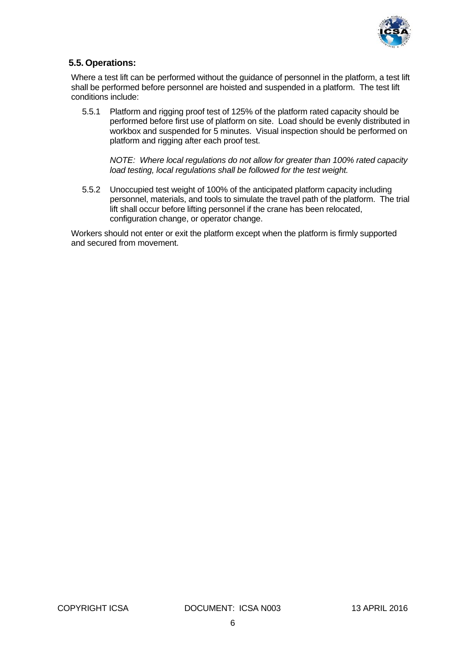

#### **5.5. Operations:**

Where a test lift can be performed without the guidance of personnel in the platform, a test lift shall be performed before personnel are hoisted and suspended in a platform. The test lift conditions include:

5.5.1 Platform and rigging proof test of 125% of the platform rated capacity should be performed before first use of platform on site. Load should be evenly distributed in workbox and suspended for 5 minutes. Visual inspection should be performed on platform and rigging after each proof test.

*NOTE: Where local regulations do not allow for greater than 100% rated capacity load testing, local regulations shall be followed for the test weight.* 

5.5.2 Unoccupied test weight of 100% of the anticipated platform capacity including personnel, materials, and tools to simulate the travel path of the platform. The trial lift shall occur before lifting personnel if the crane has been relocated, configuration change, or operator change.

Workers should not enter or exit the platform except when the platform is firmly supported and secured from movement.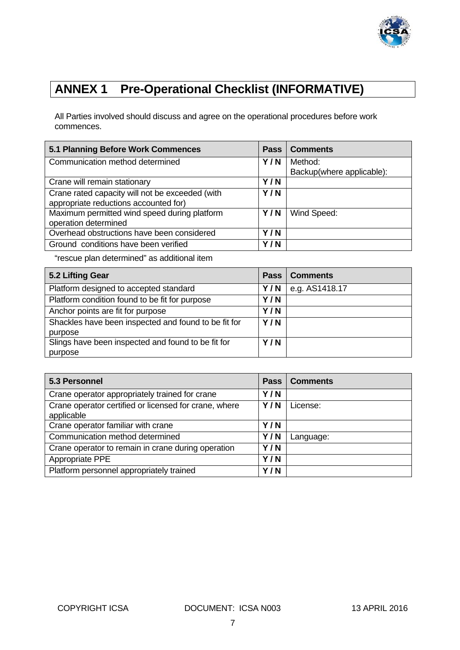

## **ANNEX 1 Pre-Operational Checklist (INFORMATIVE)**

All Parties involved should discuss and agree on the operational procedures before work commences.

| 5.1 Planning Before Work Commences              | <b>Pass</b> | <b>Comments</b>           |
|-------------------------------------------------|-------------|---------------------------|
| Communication method determined                 | Y/N         | Method:                   |
|                                                 |             | Backup(where applicable): |
| Crane will remain stationary                    | Y/N         |                           |
| Crane rated capacity will not be exceeded (with | Y/N         |                           |
| appropriate reductions accounted for)           |             |                           |
| Maximum permitted wind speed during platform    | Y/N         | Wind Speed:               |
| operation determined                            |             |                           |
| Overhead obstructions have been considered      |             |                           |
| Ground conditions have been verified            |             |                           |

"rescue plan determined" as additional item

| 5.2 Lifting Gear                                     | <b>Pass</b> | Comments       |
|------------------------------------------------------|-------------|----------------|
| Platform designed to accepted standard               | Y/N         | e.g. AS1418.17 |
| Platform condition found to be fit for purpose       | Y/N         |                |
| Anchor points are fit for purpose                    | Y/N         |                |
| Shackles have been inspected and found to be fit for | Y/N         |                |
| purpose                                              |             |                |
| Slings have been inspected and found to be fit for   | Y/N         |                |
| purpose                                              |             |                |

| 5.3 Personnel                                                       | <b>Pass</b> | <b>Comments</b> |
|---------------------------------------------------------------------|-------------|-----------------|
| Crane operator appropriately trained for crane                      | Y/N         |                 |
| Crane operator certified or licensed for crane, where<br>applicable | Y/N         | License:        |
| Crane operator familiar with crane                                  |             |                 |
| Communication method determined                                     |             | Language:       |
| Crane operator to remain in crane during operation                  | Y/N         |                 |
| Appropriate PPE                                                     | Y/N         |                 |
| Platform personnel appropriately trained                            | Y/N         |                 |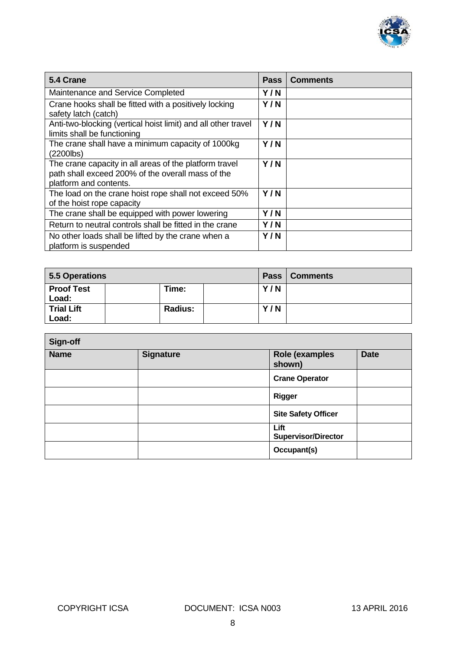

| 5.4 Crane                                                                                                                             | <b>Pass</b> | <b>Comments</b> |
|---------------------------------------------------------------------------------------------------------------------------------------|-------------|-----------------|
| Maintenance and Service Completed                                                                                                     | Y/N         |                 |
| Crane hooks shall be fitted with a positively locking<br>safety latch (catch)                                                         | Y/N         |                 |
| Anti-two-blocking (vertical hoist limit) and all other travel<br>limits shall be functioning                                          | Y/N         |                 |
| The crane shall have a minimum capacity of 1000kg<br>$(2200$ lbs)                                                                     | Y/N         |                 |
| The crane capacity in all areas of the platform travel<br>path shall exceed 200% of the overall mass of the<br>platform and contents. | Y/N         |                 |
| The load on the crane hoist rope shall not exceed 50%<br>of the hoist rope capacity                                                   | Y/N         |                 |
| The crane shall be equipped with power lowering                                                                                       | Y/N         |                 |
| Return to neutral controls shall be fitted in the crane                                                                               | Y/N         |                 |
| No other loads shall be lifted by the crane when a<br>platform is suspended                                                           | Y/N         |                 |

| 5.5 Operations             |                |     | Pass   Comments |
|----------------------------|----------------|-----|-----------------|
| <b>Proof Test</b><br>Load: | Time:          | Y/N |                 |
| <b>Trial Lift</b><br>Load: | <b>Radius:</b> | Y/N |                 |

| Sign-off                        |  |                                    |             |  |  |
|---------------------------------|--|------------------------------------|-------------|--|--|
| <b>Signature</b><br><b>Name</b> |  | Role (examples<br>shown)           | <b>Date</b> |  |  |
|                                 |  | <b>Crane Operator</b>              |             |  |  |
|                                 |  | <b>Rigger</b>                      |             |  |  |
|                                 |  | <b>Site Safety Officer</b>         |             |  |  |
|                                 |  | Lift<br><b>Supervisor/Director</b> |             |  |  |
|                                 |  | Occupant(s)                        |             |  |  |